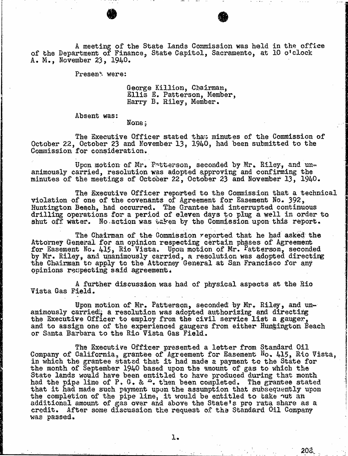A meeting of the State Lands Commission was held in the office of the Department of Finance, State Capitol, Sacramento, at 10 o'clock A. M., November 23, 1940.

Present were:

George Killion, Chairman, Ellis E. Patterson, Member, Harry B. Riley, Member.

Absent was:

None ;

The Executive Officer stated that minutes of the Commission of October 22, October 23 and November 13, 1940, had been submitted to the Commission for consideration.

Upon motion of Mr. Patterson, seconded by Mr. Riley, and un- animously carried, resolution was adopted approving and confirming the minutes of the meetings of October 22, October 23 and November 13, 1940.

The Executive Officer reported to the Commission that a technical violation of one of the covenants of Agreement for Easement No. 392, Huntington Beach, had occurred. The Grantee had interrupted continuous drilling operations for a period of eleven days to plug a well in order to shut off water. No action was taken by the Commission upon this report.

The Chairman of the Commission reported that he had asked the Attorney General for an opinion respecting certain phases of for Easement No. 415, Rio Vista. Upon motion of Mr. Fatterson, by Mr. Riley, and unanimously carried, a resolution was adopted  $\frac{1}{n}$ the Chairman to apply to the Attorney General at San Francisco for any opinions roupecting said agreement.

A further discussion was had of physical aspects at the Rio Vista Gas Field.

Upon motion of Mr. Patterson, seconded by Mr. Riley, and unanimously carried; a resolution was adopted authorizing and direction of the direction of the direction of the the Executive Officer to employ from the civil servic and to assign one of the experienced gaugers from either Huntington Beach or Santa Barbara to the Rio Vista Gas Field.

The Executive Officer presented a letter from Standard Oil Company of California, grantee of Agreement for Easement No. 415, Rio Vista, in which the grantee stated that it had made a payment to the the month of September 1940 based upon the amount of gas to wh State lands would have been entitled to have produced during that month had the pipe line of  $P_+$  G. &  $-$ . then been completed. The grant that it had made such payment upon the assumption that subsequently upon the completion of the pipe line, it would be entitled to take out an additional amount of gas over and above the State's pro rat  $\operatorname{credit}_\bullet$  after some discussion the request of the Standard Or was passed.

20%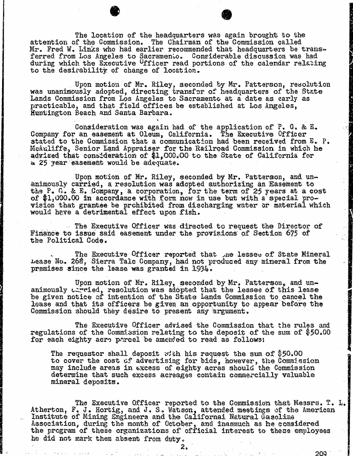The location of the headquarters was again brought to the attention of the Commission called Mr. Fred W. Links who had earlier recommended that headquarters be transforred from Los Angeles to Sacramento. Considerable discuss during which the Executive Ufficer read portions of the calendaries to the desirability of change of location.

Upon motion of Mr. Riley, seconded by Mr. Patterson, resolution was unanimously adopted, directing transfer of headquarters of the State Lands Commission from Los Angeles to Sacramento at a date as early as practicable, and that field offices be established at Los Angeles, Huntington Beach and Santa Barbara.

Consideration was again had of the application of P. G. & E. Company for an easement at Oleum, California. The Executive Officer stated to the Commission that a communication had been received from E. P. McAuliffe, Senior Land Appraiser for the Railroad Commission in advised that consideration of \$1,000.00 to the State of Cal a 25 year easement would be adequate.

Upon motion of Mr. Riley, seconded by Mr. Patterson, and un- animously carried, a resolution was adopted authorizing an Easement to the P.  $G$ . & E. Company, a corporation, for the term of 25 years at a cost of \$1,000.00 in accordance with form now in use but with a special provision that grantee be prohibited from discharging water or material which would have a detrimental effect upon fish.

The Executive Officer was directed to request the Director of Finance to issue said easement under the provisions of Section 675 of the Political Code.

The Executive Officer reported that the lesses of State Mineral Lease No. 268, Sierra Tale Company, had not produced any mineral from the premises since the lease was granted in 1934.

Upon motion of Mr. Riley, seconded by Mr. Patterson, animously carried, resolution was adopted that the lessee of th be given notice of intention of the State Lands Commission to lease and that its officers be given an opportunity to appear before the Commission should they desire to present any argument.

The Executive Officer advised the Commission that the rules and regulations of the Commission relating to the deposit of the sum of \$50.00 for each eighty acro parcel be amended to read as follows:

The requestor shall deposit with his request the sum of \$50.00 to cover the cost of advertising for bids, however, the Commission may include areas in excess of eighty acres should the Commission determine that such excess acreages contain commercially valuable mineral deposits.

The Executive Officer reported to the Commission that<br>Atherton, F. J. Hortig, and J. S. Watson, attended meetings of th Institute of Mining Engineers and the Californai Nat Association, during the month of October, and inasmuch as he the program of these organizations of official interest to  $t$ he did not mark them absent from duty.

2.

200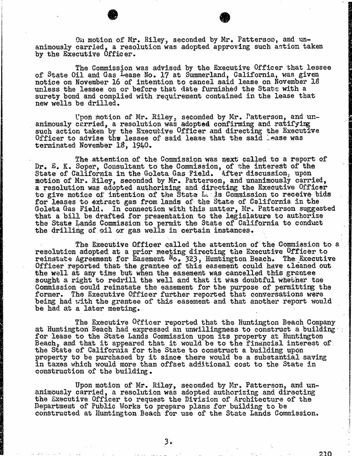On motion of Mr. Riley, seconded by Mr. Patterson, and un- animously carried, a resolution was adopted approving such action taken by the Executive Officer.

The Commission was advised by the Executive Officer that lessee of State Oil and Gas Lease No. 17 at Summerland, California, was given notice on November 16 of intention to cancel said lease on November 18 unless the lessee on or before that date furnished the State with a surety bond and complied with requirement contained in the lease that new wells be drilled.

Upon motion of Mr. Riley, seconded by Mr. Patterson, animously carried, a resolution was adopted confirming and ratific such action taken by the Executive Officer and directing the Executive Officer and directing the Officer to advise the lessee of said lease that the said hease was terminated November 18, 1940-

The attention of the Commission was next called to a<br>Dr. E. K. Soper, Consultant to the Commission, of the interest State of California in the Goleta Gas Field. After motion of Mr. Riley, seconded by Mr. Patterson, and unanimously carried, a resolution was adopted authorizing and directing the Executive Officer to give notice of intention of the State It Is Commission to receive bids for leases to extract gas from lands of the State of California in the Goleta Gas Field. In connection with this matter, Mr. Patterson suggested that a bill be drafted for presentation to the legislature to authorize the State Lands Commission to permit the State of California to conduct the drilling of oil or gas wells in certain instances.

The Executive Officer called the attention of the Commission to a resolution adopted at a prior meeting directing the Executive reinstate Agreement for Easement No. 323, Huntington Beach. The Executive Executive Contracts. Officer reported that the grantee of this easement could have cleaned out  $\mathbb{R}^n$ the well at any time but when the easement was cancelled this grantee sought a right to redrill the well and that it was doubtful whether the Commission could reinstate the easement for the purpose of permitting the former. The Executive Officer further reported that conversations were being had with the grantee of this easement and that another report would be had at a later meeting.

The Executive Officer reported that the Huntington Beach Company at Huntington Beach had expressed an unwillingness to construct a building for lease to the State Lands Commission upon its property at Huntington  $Beach<sub>r</sub>$  and that it appeared that it would be to the financial  $i$ the State of California for the State to construct property to be purchased by it since there would be a substantial saving in taxes which would more than offset additional cost to the State in construction of the building .

Upon motion of Mr. Riley, seconded by Mr. Patterson,<br>animously carried, a resolution was adopted authorizing and diraction the Executive Officer to request the Division of Arch Department of Public Works to prepare plans for building to be constructed at Huntington Beach for use of the State Lands Commission.

210

3.